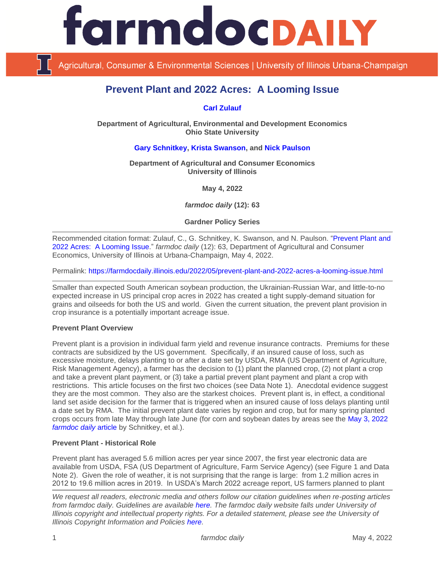

Agricultural, Consumer & Environmental Sciences | University of Illinois Urbana-Champaign

# **Prevent Plant and 2022 Acres: A Looming Issue**

**[Carl Zulauf](http://aede.osu.edu/our-people/carl-zulauf)**

**Department of Agricultural, Environmental and Development Economics Ohio State University**

# **[Gary Schnitkey,](https://ace.illinois.edu/directory/schnitke) [Krista Swanson,](https://ace.illinois.edu/directory/krista) and [Nick Paulson](https://ace.illinois.edu/directory/npaulson)**

**Department of Agricultural and Consumer Economics University of Illinois**

**May 4, 2022**

*farmdoc daily* **(12): 63**

**Gardner Policy Series**

Recommended citation format: Zulauf, C., G. Schnitkey, K. Swanson, and N. Paulson. ["Prevent Plant](https://farmdocdaily.illinois.edu/2022/05/prevent-plant-and-2022-acres-a-looming-issue.html) and [2022 Acres: A Looming Issue.](https://farmdocdaily.illinois.edu/2022/05/prevent-plant-and-2022-acres-a-looming-issue.html)" *farmdoc daily* (12): 63, Department of Agricultural and Consumer Economics, University of Illinois at Urbana-Champaign, May 4, 2022.

Permalink:<https://farmdocdaily.illinois.edu/2022/05/prevent-plant-and-2022-acres-a-looming-issue.html>

Smaller than expected South American soybean production, the Ukrainian-Russian War, and little-to-no expected increase in US principal crop acres in 2022 has created a tight supply-demand situation for grains and oilseeds for both the US and world. Given the current situation, the prevent plant provision in crop insurance is a potentially important acreage issue.

### **Prevent Plant Overview**

Prevent plant is a provision in individual farm yield and revenue insurance contracts. Premiums for these contracts are subsidized by the US government. Specifically, if an insured cause of loss, such as excessive moisture, delays planting to or after a date set by USDA, RMA (US Department of Agriculture, Risk Management Agency), a farmer has the decision to (1) plant the planned crop, (2) not plant a crop and take a prevent plant payment, or (3) take a partial prevent plant payment and plant a crop with restrictions. This article focuses on the first two choices (see Data Note 1). Anecdotal evidence suggest they are the most common. They also are the starkest choices. Prevent plant is, in effect, a conditional land set aside decision for the farmer that is triggered when an insured cause of loss delays planting until a date set by RMA. The initial prevent plant date varies by region and crop, but for many spring planted crops occurs from late May through late June (for corn and soybean dates by areas see the [May 3, 2022](https://farmdocdaily.illinois.edu/2022/05/review-of-prevented-plant-decisions-for-2022.html)  *[farmdoc daily](https://farmdocdaily.illinois.edu/2022/05/review-of-prevented-plant-decisions-for-2022.html)* article by Schnitkey, et al.).

### **Prevent Plant - Historical Role**

Prevent plant has averaged 5.6 million acres per year since 2007, the first year electronic data are available from USDA, FSA (US Department of Agriculture, Farm Service Agency) (see Figure 1 and Data Note 2). Given the role of weather, it is not surprising that the range is large: from 1.2 million acres in 2012 to 19.6 million acres in 2019. In USDA's March 2022 acreage report, US farmers planned to plant

*We request all readers, electronic media and others follow our citation guidelines when re-posting articles from farmdoc daily. Guidelines are available [here.](http://farmdocdaily.illinois.edu/citationguide.html) The farmdoc daily website falls under University of Illinois copyright and intellectual property rights. For a detailed statement, please see the University of Illinois Copyright Information and Policies [here.](http://www.cio.illinois.edu/policies/copyright/)*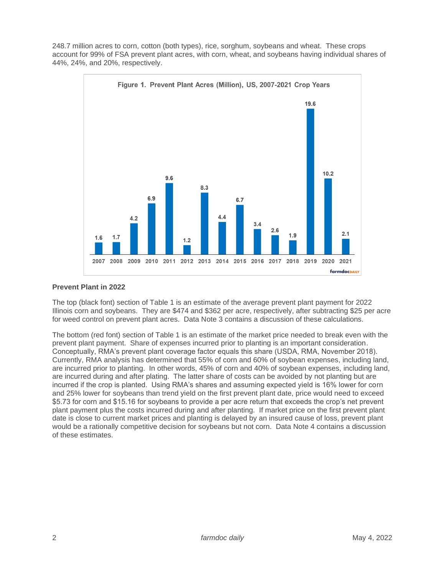248.7 million acres to corn, cotton (both types), rice, sorghum, soybeans and wheat. These crops account for 99% of FSA prevent plant acres, with corn, wheat, and soybeans having individual shares of 44%, 24%, and 20%, respectively.



## **Prevent Plant in 2022**

The top (black font) section of Table 1 is an estimate of the average prevent plant payment for 2022 Illinois corn and soybeans. They are \$474 and \$362 per acre, respectively, after subtracting \$25 per acre for weed control on prevent plant acres. Data Note 3 contains a discussion of these calculations.

The bottom (red font) section of Table 1 is an estimate of the market price needed to break even with the prevent plant payment. Share of expenses incurred prior to planting is an important consideration. Conceptually, RMA's prevent plant coverage factor equals this share (USDA, RMA, November 2018). Currently, RMA analysis has determined that 55% of corn and 60% of soybean expenses, including land, are incurred prior to planting. In other words, 45% of corn and 40% of soybean expenses, including land, are incurred during and after plating. The latter share of costs can be avoided by not planting but are incurred if the crop is planted. Using RMA's shares and assuming expected yield is 16% lower for corn and 25% lower for soybeans than trend yield on the first prevent plant date, price would need to exceed \$5.73 for corn and \$15.16 for soybeans to provide a per acre return that exceeds the crop's net prevent plant payment plus the costs incurred during and after planting. If market price on the first prevent plant date is close to current market prices and planting is delayed by an insured cause of loss, prevent plant would be a rationally competitive decision for soybeans but not corn. Data Note 4 contains a discussion of these estimates.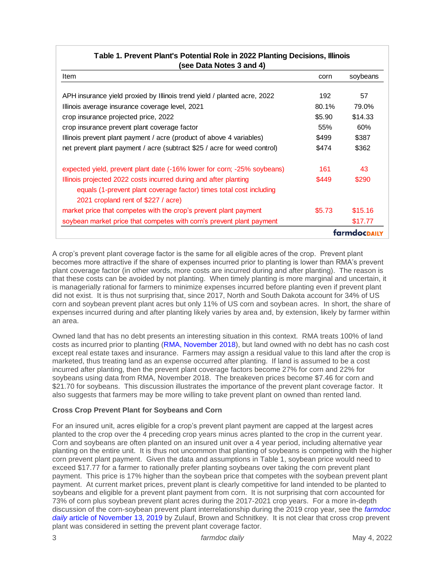| (see Data Notes 3 and 4)                                                 |                       |          |  |
|--------------------------------------------------------------------------|-----------------------|----------|--|
| <b>Item</b>                                                              | corn                  | soybeans |  |
| APH insurance yield proxied by Illinois trend yield / planted acre, 2022 | 192                   | 57       |  |
| Illinois average insurance coverage level, 2021                          | 80.1%                 | 79.0%    |  |
| crop insurance projected price, 2022                                     | \$5.90                | \$14.33  |  |
| crop insurance prevent plant coverage factor                             | 55%                   | 60%      |  |
| Illinois prevent plant payment / acre (product of above 4 variables)     | \$499                 | \$387    |  |
| net prevent plant payment / acre (subtract \$25 / acre for weed control) | \$474                 | \$362    |  |
| expected yield, prevent plant date (-16% lower for corn; -25% soybeans)  | 161                   | 43       |  |
| Illinois projected 2022 costs incurred during and after planting         | \$449                 | \$290    |  |
| equals (1-prevent plant coverage factor) times total cost including      |                       |          |  |
| 2021 cropland rent of \$227 / acre)                                      |                       |          |  |
| market price that competes with the crop's prevent plant payment         | \$5.73                | \$15.16  |  |
| soybean market price that competes with corn's prevent plant payment     |                       | \$17.77  |  |
|                                                                          | farmdoc <sub>DA</sub> |          |  |

# **Table 1. Prevent Plant's Potential Role in 2022 Planting Decisions, Illinois**

A crop's prevent plant coverage factor is the same for all eligible acres of the crop. Prevent plant becomes more attractive if the share of expenses incurred prior to planting is lower than RMA's prevent plant coverage factor (in other words, more costs are incurred during and after planting). The reason is that these costs can be avoided by not planting. When timely planting is more marginal and uncertain, it is managerially rational for farmers to minimize expenses incurred before planting even if prevent plant did not exist. It is thus not surprising that, since 2017, North and South Dakota account for 34% of US corn and soybean prevent plant acres but only 11% of US corn and soybean acres. In short, the share of expenses incurred during and after planting likely varies by area and, by extension, likely by farmer within an area.

Owned land that has no debt presents an interesting situation in this context. RMA treats 100% of land costs as incurred prior to planting [\(RMA, November 2018\)](https://www.rma.usda.gov/-/media/RMA/Publications/Establishment-of-Prevented-Planting-Coverage-Factors-Nov-2018.ashx?la=en), but land owned with no debt has no cash cost except real estate taxes and insurance. Farmers may assign a residual value to this land after the crop is marketed, thus treating land as an expense occurred after planting. If land is assumed to be a cost incurred after planting, then the prevent plant coverage factors become 27% for corn and 22% for soybeans using data from RMA, November 2018. The breakeven prices become \$7.46 for corn and \$21.70 for soybeans. This discussion illustrates the importance of the prevent plant coverage factor. It also suggests that farmers may be more willing to take prevent plant on owned than rented land.

## **Cross Crop Prevent Plant for Soybeans and Corn**

For an insured unit, acres eligible for a crop's prevent plant payment are capped at the largest acres planted to the crop over the 4 preceding crop years minus acres planted to the crop in the current year. Corn and soybeans are often planted on an insured unit over a 4 year period, including alternative year planting on the entire unit. It is thus not uncommon that planting of soybeans is competing with the higher corn prevent plant payment. Given the data and assumptions in Table 1, soybean price would need to exceed \$17.77 for a farmer to rationally prefer planting soybeans over taking the corn prevent plant payment. This price is 17% higher than the soybean price that competes with the soybean prevent plant payment. At current market prices, prevent plant is clearly competitive for land intended to be planted to soybeans and eligible for a prevent plant payment from corn. It is not surprising that corn accounted for 73% of corn plus soybean prevent plant acres during the 2017-2021 crop years. For a more in-depth discussion of the corn-soybean prevent plant interrelationship during the 2019 crop year, see the *[farmdoc](https://farmdocdaily.illinois.edu/2019/11/decoding-prevent-plant-acres-for-corn-and-soybeans.html)  daily* [article of November 13, 2019](https://farmdocdaily.illinois.edu/2019/11/decoding-prevent-plant-acres-for-corn-and-soybeans.html) by Zulauf, Brown and Schnitkey. It is not clear that cross crop prevent plant was considered in setting the prevent plant coverage factor.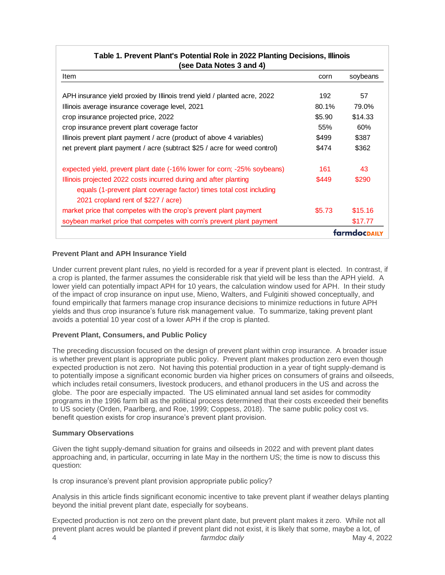| (see Data Notes 3 and 4)                                                                                                                                                                                                                                                                                                                                                                                                                                                                                                                                                                                                                                                                                                                                                                                                                                                                                                                                                                                                                                                                                                                                                                                                                                                                                                                                                                                                                                                                                        |        |              |  |
|-----------------------------------------------------------------------------------------------------------------------------------------------------------------------------------------------------------------------------------------------------------------------------------------------------------------------------------------------------------------------------------------------------------------------------------------------------------------------------------------------------------------------------------------------------------------------------------------------------------------------------------------------------------------------------------------------------------------------------------------------------------------------------------------------------------------------------------------------------------------------------------------------------------------------------------------------------------------------------------------------------------------------------------------------------------------------------------------------------------------------------------------------------------------------------------------------------------------------------------------------------------------------------------------------------------------------------------------------------------------------------------------------------------------------------------------------------------------------------------------------------------------|--------|--------------|--|
| Item                                                                                                                                                                                                                                                                                                                                                                                                                                                                                                                                                                                                                                                                                                                                                                                                                                                                                                                                                                                                                                                                                                                                                                                                                                                                                                                                                                                                                                                                                                            | corn   | soybeans     |  |
| APH insurance yield proxied by Illinois trend yield / planted acre, 2022                                                                                                                                                                                                                                                                                                                                                                                                                                                                                                                                                                                                                                                                                                                                                                                                                                                                                                                                                                                                                                                                                                                                                                                                                                                                                                                                                                                                                                        | 192    | 57           |  |
| Illinois average insurance coverage level, 2021                                                                                                                                                                                                                                                                                                                                                                                                                                                                                                                                                                                                                                                                                                                                                                                                                                                                                                                                                                                                                                                                                                                                                                                                                                                                                                                                                                                                                                                                 | 80.1%  | 79.0%        |  |
| crop insurance projected price, 2022                                                                                                                                                                                                                                                                                                                                                                                                                                                                                                                                                                                                                                                                                                                                                                                                                                                                                                                                                                                                                                                                                                                                                                                                                                                                                                                                                                                                                                                                            | \$5.90 | \$14.33      |  |
| crop insurance prevent plant coverage factor                                                                                                                                                                                                                                                                                                                                                                                                                                                                                                                                                                                                                                                                                                                                                                                                                                                                                                                                                                                                                                                                                                                                                                                                                                                                                                                                                                                                                                                                    | 55%    | 60%          |  |
| Illinois prevent plant payment / acre (product of above 4 variables)                                                                                                                                                                                                                                                                                                                                                                                                                                                                                                                                                                                                                                                                                                                                                                                                                                                                                                                                                                                                                                                                                                                                                                                                                                                                                                                                                                                                                                            | \$499  | \$387        |  |
| net prevent plant payment / acre (subtract \$25 / acre for weed control)                                                                                                                                                                                                                                                                                                                                                                                                                                                                                                                                                                                                                                                                                                                                                                                                                                                                                                                                                                                                                                                                                                                                                                                                                                                                                                                                                                                                                                        | \$474  | \$362        |  |
| expected yield, prevent plant date (-16% lower for corn; -25% soybeans)                                                                                                                                                                                                                                                                                                                                                                                                                                                                                                                                                                                                                                                                                                                                                                                                                                                                                                                                                                                                                                                                                                                                                                                                                                                                                                                                                                                                                                         | 161    | 43           |  |
| Illinois projected 2022 costs incurred during and after planting                                                                                                                                                                                                                                                                                                                                                                                                                                                                                                                                                                                                                                                                                                                                                                                                                                                                                                                                                                                                                                                                                                                                                                                                                                                                                                                                                                                                                                                | \$449  | \$290        |  |
| equals (1-prevent plant coverage factor) times total cost including                                                                                                                                                                                                                                                                                                                                                                                                                                                                                                                                                                                                                                                                                                                                                                                                                                                                                                                                                                                                                                                                                                                                                                                                                                                                                                                                                                                                                                             |        |              |  |
| 2021 cropland rent of \$227 / acre)                                                                                                                                                                                                                                                                                                                                                                                                                                                                                                                                                                                                                                                                                                                                                                                                                                                                                                                                                                                                                                                                                                                                                                                                                                                                                                                                                                                                                                                                             |        |              |  |
| market price that competes with the crop's prevent plant payment                                                                                                                                                                                                                                                                                                                                                                                                                                                                                                                                                                                                                                                                                                                                                                                                                                                                                                                                                                                                                                                                                                                                                                                                                                                                                                                                                                                                                                                | \$5.73 | \$15.16      |  |
| soybean market price that competes with corn's prevent plant payment                                                                                                                                                                                                                                                                                                                                                                                                                                                                                                                                                                                                                                                                                                                                                                                                                                                                                                                                                                                                                                                                                                                                                                                                                                                                                                                                                                                                                                            |        | \$17.77      |  |
|                                                                                                                                                                                                                                                                                                                                                                                                                                                                                                                                                                                                                                                                                                                                                                                                                                                                                                                                                                                                                                                                                                                                                                                                                                                                                                                                                                                                                                                                                                                 |        | farmdocpally |  |
| lower yield can potentially impact APH for 10 years, the calculation window used for APH. In their study<br>of the impact of crop insurance on input use, Mieno, Walters, and Fulginiti showed conceptually, and<br>found empirically that farmers manage crop insurance decisions to minimize reductions in future APH<br>yields and thus crop insurance's future risk management value. To summarize, taking prevent plant<br>avoids a potential 10 year cost of a lower APH if the crop is planted.<br><b>Prevent Plant, Consumers, and Public Policy</b><br>The preceding discussion focused on the design of prevent plant within crop insurance. A broader issue<br>is whether prevent plant is appropriate public policy. Prevent plant makes production zero even though<br>expected production is not zero. Not having this potential production in a year of tight supply-demand is<br>to potentially impose a significant economic burden via higher prices on consumers of grains and oilseed<br>which includes retail consumers, livestock producers, and ethanol producers in the US and across the<br>globe. The poor are especially impacted. The US eliminated annual land set asides for commodity<br>programs in the 1996 farm bill as the political process determined that their costs exceeded their benefits<br>to US society (Orden, Paarlberg, and Roe, 1999; Coppess, 2018). The same public policy cost vs.<br>benefit question exists for crop insurance's prevent plant provision. |        |              |  |
| <b>Summary Observations</b>                                                                                                                                                                                                                                                                                                                                                                                                                                                                                                                                                                                                                                                                                                                                                                                                                                                                                                                                                                                                                                                                                                                                                                                                                                                                                                                                                                                                                                                                                     |        |              |  |
| Given the tight supply-demand situation for grains and oilseeds in 2022 and with prevent plant dates<br>approaching and, in particular, occurring in late May in the northern US; the time is now to discuss this<br>question:                                                                                                                                                                                                                                                                                                                                                                                                                                                                                                                                                                                                                                                                                                                                                                                                                                                                                                                                                                                                                                                                                                                                                                                                                                                                                  |        |              |  |
| Is crop insurance's prevent plant provision appropriate public policy?                                                                                                                                                                                                                                                                                                                                                                                                                                                                                                                                                                                                                                                                                                                                                                                                                                                                                                                                                                                                                                                                                                                                                                                                                                                                                                                                                                                                                                          |        |              |  |
| Analysis in this article finds significant economic incentive to take prevent plant if weather delays planting<br>beyond the initial prevent plant date, especially for soybeans.                                                                                                                                                                                                                                                                                                                                                                                                                                                                                                                                                                                                                                                                                                                                                                                                                                                                                                                                                                                                                                                                                                                                                                                                                                                                                                                               |        |              |  |
| Expected production is not zero on the prevent plant date, but prevent plant makes it zero. While not all<br>prevent plant acres would be planted if prevent plant did not exist, it is likely that some, maybe a lot, of                                                                                                                                                                                                                                                                                                                                                                                                                                                                                                                                                                                                                                                                                                                                                                                                                                                                                                                                                                                                                                                                                                                                                                                                                                                                                       |        |              |  |

# **Table 1. Prevent Plant's Potential Role in 2022 Planting Decisions, Illinois**

# **Prevent Plant and APH Insurance Yield**

## **Prevent Plant, Consumers, and Public Policy**

### **Summary Observations**

4 *farmdoc daily* May 4, 2022 Expected production is not zero on the prevent plant date, but prevent plant makes it zero. While not all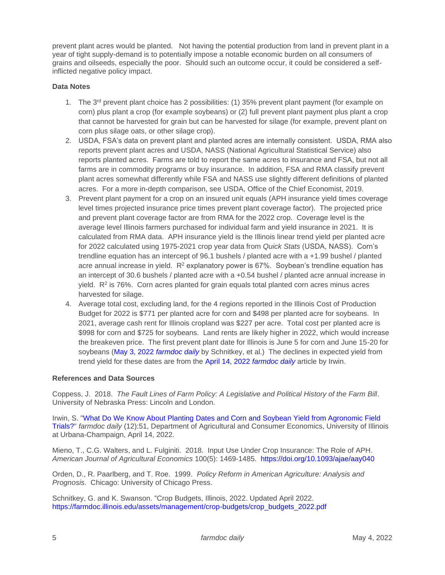prevent plant acres would be planted. Not having the potential production from land in prevent plant in a year of tight supply-demand is to potentially impose a notable economic burden on all consumers of grains and oilseeds, especially the poor. Should such an outcome occur, it could be considered a selfinflicted negative policy impact.

### **Data Notes**

- 1. The  $3<sup>rd</sup>$  prevent plant choice has 2 possibilities: (1) 35% prevent plant payment (for example on corn) plus plant a crop (for example soybeans) or (2) full prevent plant payment plus plant a crop that cannot be harvested for grain but can be harvested for silage (for example, prevent plant on corn plus silage oats, or other silage crop).
- 2. USDA, FSA's data on prevent plant and planted acres are internally consistent. USDA, RMA also reports prevent plant acres and USDA, NASS (National Agricultural Statistical Service) also reports planted acres. Farms are told to report the same acres to insurance and FSA, but not all farms are in commodity programs or buy insurance. In addition, FSA and RMA classify prevent plant acres somewhat differently while FSA and NASS use slightly different definitions of planted acres. For a more in-depth comparison, see USDA, Office of the Chief Economist, 2019.
- 3. Prevent plant payment for a crop on an insured unit equals (APH insurance yield times coverage level times projected insurance price times prevent plant coverage factor). The projected price and prevent plant coverage factor are from RMA for the 2022 crop. Coverage level is the average level Illinois farmers purchased for individual farm and yield insurance in 2021. It is calculated from RMA data. APH insurance yield is the Illinois linear trend yield per planted acre for 2022 calculated using 1975-2021 crop year data from *Quick Stats* (USDA, NASS). Corn's trendline equation has an intercept of 96.1 bushels / planted acre with a +1.99 bushel / planted acre annual increase in yield.  $R<sup>2</sup>$  explanatory power is 67%. Soybean's trendline equation has an intercept of 30.6 bushels / planted acre with a +0.54 bushel / planted acre annual increase in yield.  $R^2$  is 76%. Corn acres planted for grain equals total planted corn acres minus acres harvested for silage.
- 4. Average total cost, excluding land, for the 4 regions reported in the Illinois Cost of Production Budget for 2022 is \$771 per planted acre for corn and \$498 per planted acre for soybeans. In 2021, average cash rent for Illinois cropland was \$227 per acre. Total cost per planted acre is \$998 for corn and \$725 for soybeans. Land rents are likely higher in 2022, which would increase the breakeven price. The first prevent plant date for Illinois is June 5 for corn and June 15-20 for soybeans [\(May 3, 2022](https://farmdocdaily.illinois.edu/2022/05/review-of-prevented-plant-decisions-for-2022.html) *farmdoc daily* by Schnitkey, et al.) The declines in expected yield from trend yield for these dates are from the [April 14, 2022](https://farmdocdaily.illinois.edu/2022/04/what-do-we-know-about-planting-dates-and-corn-and-soybean-yield-from-agronomic-field-trials.html) *farmdoc daily* article by Irwin.

### **References and Data Sources**

Coppess, J. 2018. *The Fault Lines of Farm Policy: A Legislative and Political History of the Farm Bill*. University of Nebraska Press: Lincoln and London.

Irwin, S. ["What Do We Know About Planting Dates and Corn and Soybean Yield from Agronomic Field](https://farmdocdaily.illinois.edu/2022/04/what-do-we-know-about-planting-dates-and-corn-and-soybean-yield-from-agronomic-field-trials.html)  [Trials?"](https://farmdocdaily.illinois.edu/2022/04/what-do-we-know-about-planting-dates-and-corn-and-soybean-yield-from-agronomic-field-trials.html) *farmdoc daily* (12):51, Department of Agricultural and Consumer Economics, University of Illinois at Urbana-Champaign, April 14, 2022.

Mieno, T., C.G. Walters, and L. Fulginiti. 2018. Input Use Under Crop Insurance: The Role of APH. *American Journal of Agricultural Economics* 100(5): 1469-1485. <https://doi.org/10.1093/ajae/aay040>

Orden, D., R. Paarlberg, and T. Roe. 1999. *Policy Reform in American Agriculture: Analysis and Prognosis*. Chicago: University of Chicago Press.

Schnitkey, G. and K. Swanson. "Crop Budgets, Illinois, 2022. Updated April 2022. [https://farmdoc.illinois.edu/assets/management/crop-budgets/crop\\_budgets\\_2022.pdf](https://farmdoc.illinois.edu/assets/management/crop-budgets/crop_budgets_2022.pdf)